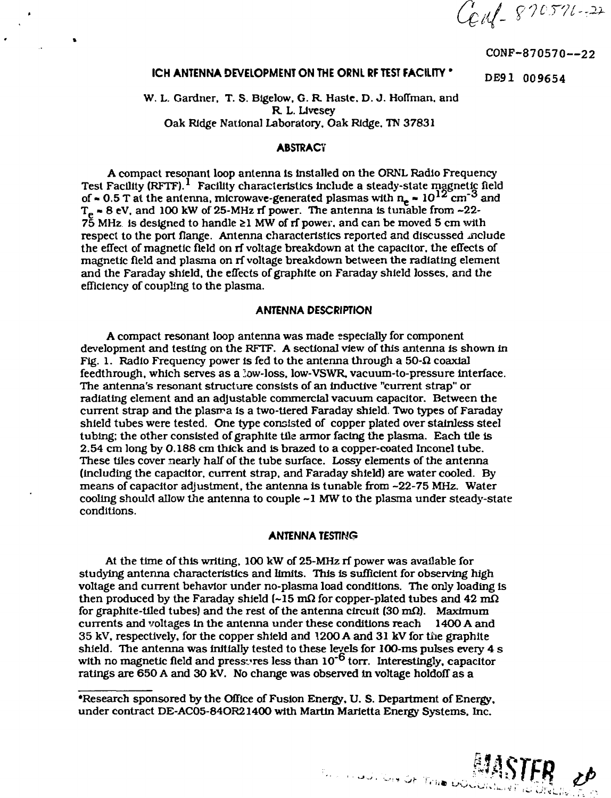Cent 870571-22

**CONF-870570—22**

# **ICH ANTENNA DEVELOPMENT ON THE ORNL RF TEST FACILITY \*** DE91 009654

W. L. Gardner. T. S. Blgelow, G. R. Haste. D. J. Hoffman, and R. L. LIvesey Oak Ridge National Laboratory. Oak Ridge. TN 37831

# **ABSTRACT**

A compact resonant loop antenna Is Installed on the ORNL Radio Frequency Test Facility (RFTF).<sup>1</sup> Facility characteristics include a steady-state magnetic field of  $\approx 0.5$  T at the antenna, microwave-generated plasmas with  $n_e \approx 10^{12}$  cm<sup>-3</sup> and  $T_e \approx 8$  eV, and 100 kW of 25-MHz rf power. The antenna is tunable from  $\sim 22$ - $75$  MHz is designed to handle  $\geq 1$  MW of rf power, and can be moved 5 cm with respect to the port flange. Antenna characteristics reported and discussed melude the effect of magnetic fleld on rf voltage breakdown at the capacitor, the effects of magnetic field and plasma on rf voltage breakdown between the radiating element and the Faraday shield, the effects of graphite on Faraday shield losses, and the efficiency of coupling to the plasma.

#### **ANTENNA DESCRIPTION**

A compact resonant loop antenna was made especially for component development and testing on the RFTF. A sectional view of this antenna is shown in Fig. 1. Radio Frequency power is fed to the antenna through a  $50-\Omega$  coaxial feedthrough, which serves as a low-loss, low-VSWR, vacuum-to-pressure Interface. The antenna's resonant structure consists of an inductive "current strap" or radiating element and an adjustable commercial vacuum capacitor. Between the current strap and the plasma is a two-tiered Faraday shield. Two types of Faraday shield tubes were tested. One type consisted of copper plated over stainless steel tubing; the other consisted of graphite tile armor facing the plasma. Each tile is 2.54 cm long by 0.188 cm thick and is brazed to a copper-coated Inconel tube. These tiles cover nearly half of the tube surface. Lossy elements of the antenna (including the capacitor, current strap, and Faraday shield) are water cooled. By means of capacitor adjustment, the antenna is tunable from -22-75 MHz. Water cooling should allow the antenna to couple ~1 MW to the plasma under steady-state conditions.

#### **ANTENNA TESTING**

At the time of this writing, 100 kW of 25-MHz rf power was available for studying antenna characteristics and limits. This Is sufficient for observing high voltage and current behavior under no-plasma load conditions. The only loading is then produced by the Faraday shield (~15 m $\Omega$  for copper-plated tubes and 42 m $\Omega$ for graphite-tiled tubes) and the rest of the antenna circuit  $(30 \text{ m}\Omega)$ . Maximum currents and voltages In the antenna under these conditions reach 1400 A and 35 kV, respectively, for the copper shield and 1200 A and 31 kV for the graphite shield. The antenna was Initially tested to these levels for 100-ms pulses every 4 s with no magnetic field and pressures less than 10<sup>-6</sup> torr. Interestingly, capacitor ratings are 650 A and 30 kV. No change was observed in voltage holdoff as a

'Research sponsored by the Office of Fusion Energy, U. S. Department of Energy, under contract DE-AC05-84OR21400 with Martin Marietta Energy Systems. Inc.

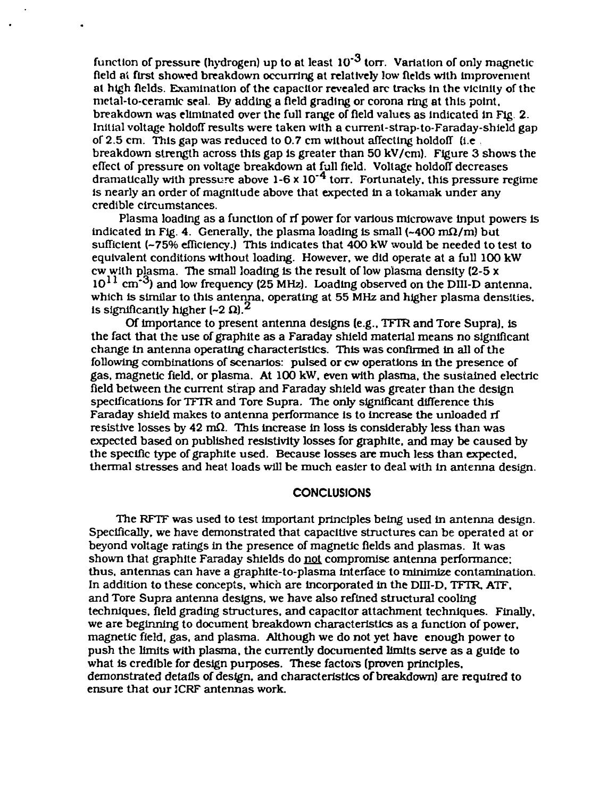function of pressure (hydrogen) up to at least  $10^{-3}$  torr. Variation of only magnetic field a! first showed breakdown occurring at relatively low fields with improvement at high fields. Examination of the capacitor revealed arc tracks In the vicinity of the metal-to-ceramlc seal. By adding a field grading or corona ring at this point, breakdown was eliminated over the full range of field values as indicated in Fig. 2. Initial voltage holdoff results were taken with a current-strap-to-Faraday-shield gap of 2.5 cm. This gap was reduced to 0.7 cm without affecting holdoff  $\theta$  (i.e. breakdown strength across this gap is greater than 50 kV/cm). Figure 3 shows the effect of pressure on voltage breakdown at full field. Voltage holdoff decreases dramatically with pressure above 1-6 x 10'<sup>4</sup> torr. Fortunately, this pressure regime is nearly an order of magnitude above that expected in a tokamak under any credible circumstances.

Plasma loading as a function of rf power for various microwave input powers is indicated in Fig. 4. Generally, the plasma loading is small  $(-400 \text{ mA/m})$  but sufficient (-75% efficiency.) This indicates that 400 kW would be needed to test to equivalent conditions without loading. However, we did operate at a full 100 kW cw with plasma. The small loading is the result of low plasma density  $(2-5x)$  $10^{11}$  cm<sup>-3</sup>) and low frequency (25 MHz). Loading observed on the DIII-D antenna, which is similar to this antenna, operating at 55 MHz and higher plasma densities, is significantly higher  $[-2, 2]$ .<sup>2</sup>

Of importance to present antenna designs (e.g.. TFTR and Tore Supra), is the fact that the use of graphite as a Faraday shield material means no significant change in antenna operating characteristics. This was confirmed in all of the following combinations of scenarios: pulsed or cw operations In the presence of gas, magnetic field, or plasma. At 100 kW, even with plasma, the sustained electric field between the current strap and Faraday shield was greater than the design specifications for TFTR and Tore Supra. The only significant difference this Faraday shield makes to antenna performance is to increase the unloaded rf resistive losses by  $42 \text{ m}\Omega$ . This increase in loss is considerably less than was expected based on published resistivity losses for graphite, and may be caused by the specific type of graphite used. Because losses are much less than expected, thermal stresses and heat loads will be much easier to deal with in antenna design.

## **CONCLUSIONS**

The RFTF was used to test important principles being used in antenna design. Specifically, we have demonstrated that capacitive structures can be operated at or beyond voltage ratings in the presence of magnetic fields and plasmas. It was shown that graphite Faraday shields do not compromise antenna performance; thus, antennas can have a graphite-to-plasma interface to minimize contamination. In addition to these concepts, which are incorporated in the DHI-D. TFTR, ATF. and Tore Supra antenna designs, we have also refined structural cooling techniques, field grading structures, and capacitor attachment techniques. Finally, we are beginning to document breakdown characteristics as a function of power, magnetic field, gas, and plasma. Although we do not yet have enough power to push the limits with plasma, the currently documented limits serve as a guide to what is credible for design purposes. These factors (proven principles, demonstrated details of design, and characteristics of breakdown) are required to ensure that our JCRF antennas work.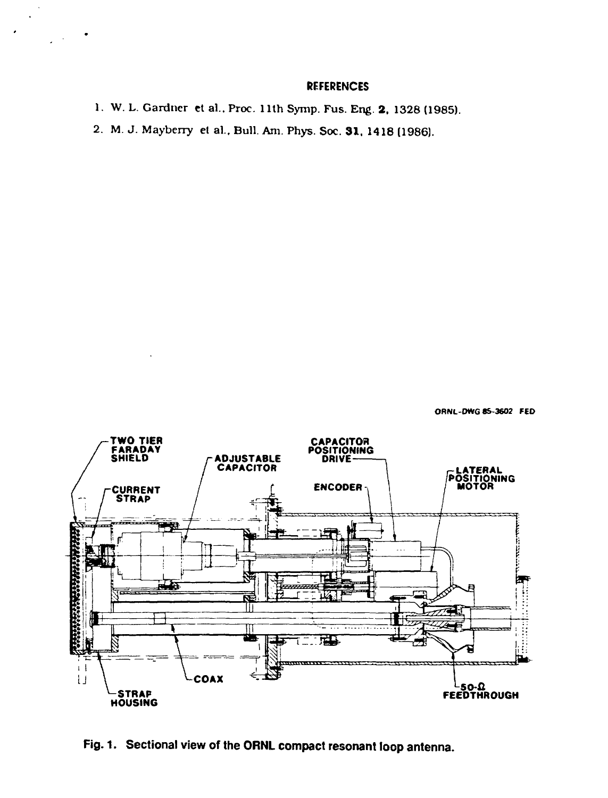## **REFERENCES**

```
1. W. L. Gardner et al.. Proc. 1 lth Symp. Fus. Eng. 2, 1328 (1985).
2. M. J. Mayberry el al.. Bull. Am. Phys. Soc. 31, 1418 (1986).
```
**ORNL-DWG 85-3602 FED**



**Fig. 1. Sectional view of the ORNL compact resonant loop antenna.**